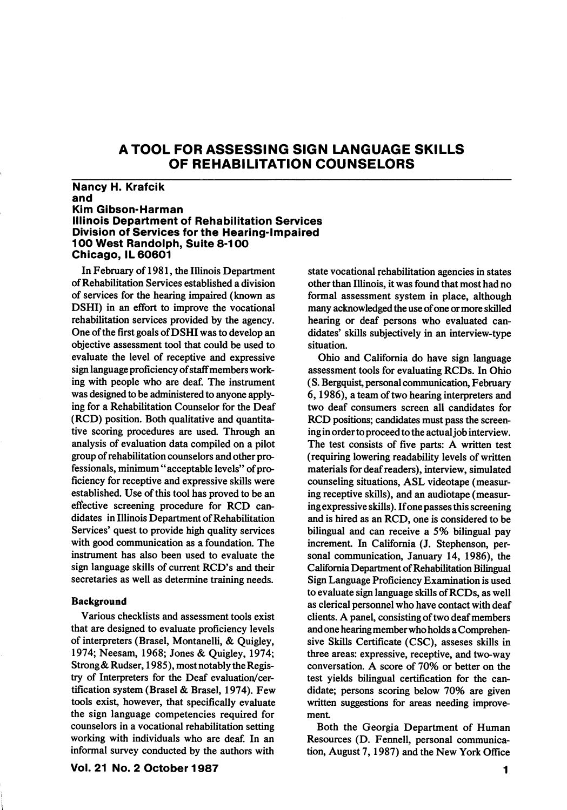# A TOOL FOR ASSESSING SIGN LANGUAGE SKILLS OF REHABILITATION COUNSELORS

## Nancy H. Krafoik and Kim GIbson-Harman Illinois Department of Rehabilitation Services Division of Services for the Hearing-impaired 100 West Randolph, Suite 8-100 Chicago, IL 60601

In February of 1981, the Illinois Department of Rehabilitation Services established a division of services for the hearing impaired (known as DSHI) in an effort to improve the vocational rehabilitation services provided by the agency. One of the first goals of DSHI was to develop an objective assessment tool that could be used to evaluate the level of receptive and expressive sign language proficiency of staff members work ing with people who are deaf. The instrument was designed to be administered to anyone apply ing for a Rehabilitation Counselor for the Deaf (RCD) position. Both qualitative and quantita tive scoring procedures are used. Through an analysis of evaluation data compiled on a pilot group of rehabilitation counselors and other pro fessionals, minimum "acceptable levels" of pro ficiency for receptive and expressive skills were established. Use of this tool has proved to be an effective screening procedure for RCD can didates in Illinois Department of Rehabilitation Services' quest to provide high quality services with good communication as a foundation. The instrument has also been used to evaluate the sign language skills of current RCD's and their secretaries as well as determine training needs.

#### Background

Various checklists and assessment tools exist that are designed to evaluate proficiency levels of interpreters (Brasel, Montanelli, & Quigley, 1974; Neesam, 1968; Jones & Quigley, 1974; Strong & Rudser, 1985), most notably the Regis try of Interpreters for the Deaf evaluation/cer tification system (Brasel & Brasel, 1974). Few tools exist, however, that specifically evaluate the sign language competencies required for counselors in a vocational rehabilitation setting working with individuals who are deaf. In an informal survey conducted by the authors with

Vol. 21 No. 2 October 1987

state vocational rehabilitation agencie s in states other than Illinois, it was found that most had no formal assessment system in place, although many acknowledged the use of one or more skilled hearing or deaf persons who evaluated can didates' skills subjectively in an interview-type situation.

Ohio and California do have sign language assessment tools for evaluating RCDs. In Ohio (S. Bergquist, personal communication, February 6,1986), a team of two hearing interpreters and two deaf consumers screen all candidates for RCD positions; candidates must pass the screen ing in order to proceed to the actual job interview. The test consists of five parts: A written test (requiring lowering readability levels of written materials for deaf readers), interview, simulated counseling situations, ASL videotape (measur ing receptive skills), and an audiotape (measur ing expressive skills). If one passes this screening and is hired as an RCD, one is considered to be bilingual and can receive a 5% bilingual pay increment. In California (J. Stephenson, personal communication, January 14, 1986), the California Department of Rehabilitation Bilingual Sign Language Proficiency Examination is used to evaluate sign language skills of RCDs, as well as clerical personnel who have contact with deaf clients. A panel, consisting of two deaf members and one hearing member who holds a Comprehen sive Skills Certificate (CSC), asseses skills in three areas: expressive, receptive, and two-way conversation. A score of 70% or better on the test yields bilingual certification for the can didate; persons scoring below 70% are given written suggestions for areas needing improve ment

Both the Georgia Department of Human Resources (D. Fennell, personal communica tion, August 7,1987) and the New York Office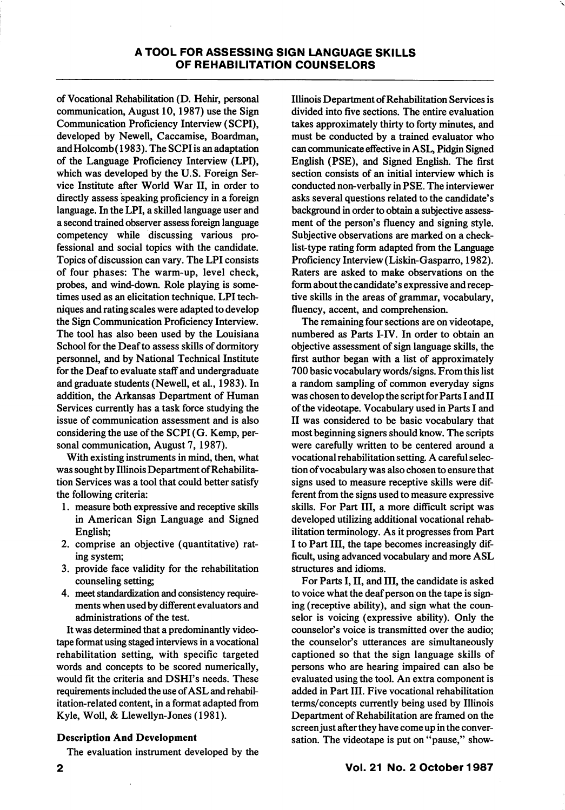of Vocational Rehabilitation (D. Hehir, personal communication, August 10,1987) use the Sign Communication Proficiency Interview (SCPI), developed by Newell, Caccamise, Boardman, and Holcomb (1983). The SCPI is an adaptation of the Language Proficiency Interview (LPI), which was developed by the U.S. Foreign Ser vice Institute after World War II, in order to directly assess speaking proficiency in a foreign language. In the LPI, a skilled language user and a second trained observer assess foreign language competency while discussing various pro fessional and social topics with the candidate. Topics of discussion can vary. The LPI consists of four phases: The warm-up, level check, probes, and wind-down. Role playing is some times used as an elicitation technique. LPI tech niques and rating scales were adapted to develop the Sign Communication Proficiency Interview. The tool has also been used by the Louisiana School for the Deaf to assess skills of dormitory personnel, and by National Technical Institute for the Deaf to evaluate staff and undergraduate and graduate students (Newell, et al., 1983). In addition, the Arkansas Department of Human Services currently has a task force studying the issue of communication assessment and is also considering the use of the SCPI (G. Kemp, per sonal communication, August 7, 1987).

With existing instruments in mind, then, what was sought by Illinois Department of Rehabilita tion Services was a tool that could better satisfy the following criteria:

- 1. measure both expressive and receptive skills in American Sign Language and Signed English;
- 2. comprise an objective (quantitative) rat ing system;
- 3. provide face validity for the rehabilitation counseling setting
- 4. meet standardization and consistency require ments when used by different evaluators and administrations of the test.

It was determined that a predominantly video tape format using staged interviews in a vocational rehabilitation setting, with specific targeted words and concepts to be scored numerically, would fit the criteria and DSHI's needs. These requirements included the use of ASL and rehabil itation-related content, in a format adapted from Kyle, Woll, & Llewellyn-Jones (1981).

### Description And Development

The evaluation instrument developed by the

Illinois Department of Rehabilitation Services is divided into five sections. The entire evaluation takes approximately thirty to forty minutes, and must be conducted by a trained evaluator who can communicate effective in ASL, Pidgin Signed English (PSE), and Signed English. The first section consists of an initial interview which is conducted non-verbally in PSE. The interviewer asks several questions related to the candidate's background in order to obtain a subjective assess ment of the person's fluency and signing style. Subjective observations are marked on a check list-type rating form adapted from the Language Proficiency Interview (Liskin-Gasparro, 1982). Raters are asked to make observations on the form about the candidate's expressive and recep tive skills in the areas of grammar, vocabulary, fluency, accent, and comprehension.

The remaining four sections are on videotape, numbered as Parts I-IV. In order to obtain an objective assessment of sign language skills, the first author began with a list of approximately 700 basic vocabulary words/signs. From this list a random sampling of common everyday signs was chosen to develop the script for Parts I and II of the videotape. Vocabulary used in Parts I and II was considered to be basic vocabulary that most beginning signers should know. The scripts were carefully written to be centered around a vocational rehabilitation setting. A careful selec tion of vocabulary was also chosen to ensure that signs used to measure receptive skills were dif ferent from the signs used to measure expressive skills. For Part III, a more difficult script was developed utilizing additional vocational rehab ilitation terminology. As it progresses from Part I to Part III, the tape becomes increasingly dif ficult, using advanced vocabulary and more ASL structures and idioms.

For Parts I, II, and III, the candidate is asked to voice what the deaf person on the tape is sign ing (receptive ability), and sign what the coun selor is voicing (expressive ability). Only the counselor's voice is transmitted over the audio; the counselor's utterances are simultaneously captioned so that the sign language skills of persons who are hearing impaired can also be evaluated using the tool. An extra component is added in Part III. Five vocational rehabilitation terms/concepts currently being used by Illinois Department of Rehabilitation are framed on the screen just after they have come up in the conver sation. The videotape is put on "pause," show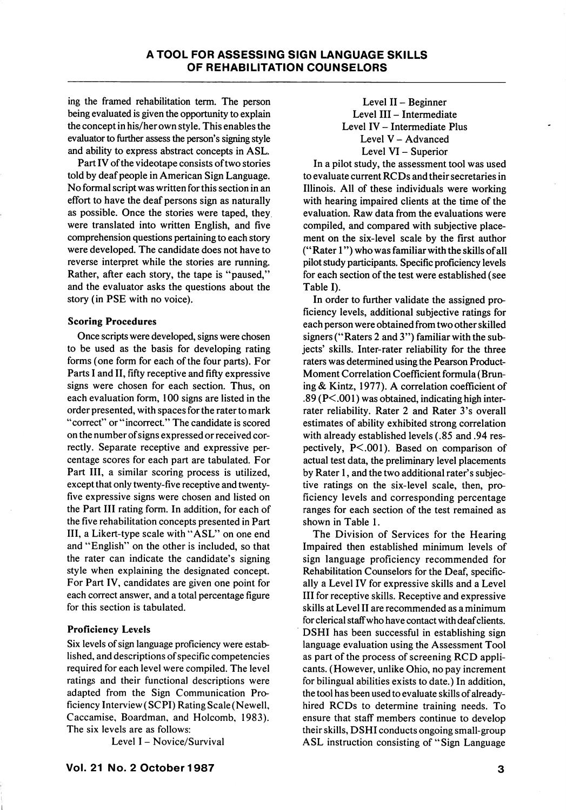ing the framed rehabilitation term. The person being evaluated is given the opportunity to explain the concept in his/her own style. This enables the evaluator to further assess the person's signing style and ability to express abstract concepts in ASL.

Part IV of the videotape consists of two stories told by deaf people in American Sign Language. No formal script was written for this section in an effort to have the deaf persons sign as naturally as possible. Once the stories were taped, they were translated into written English, and five comprehension questions pertaining to each story were developed. The candidate does not have to reverse interpret while the stories are running. Rather, after each story, the tape is "paused," and the evaluator asks the questions about the story (in PSE with no voice).

### Scoring Procedures

Once scripts were developed, signs were chosen to be used as the basis for developing rating forms (one form for each of the four parts). For Parts I and II, fifty receptive and fifty expressive signs were chosen for each section. Thus, on each evaluation form, 100 signs are listed in the order presented, with spaces for the rater to mark "correct" or "incorrect." The candidate is scored on the number of signs expressed or received cor rectly. Separate receptive and expressive per centage scores for each part are tabulated. For Part III, a similar scoring process is utilized, except that only twenty-five receptive and twentyfive expressive signs were chosen and listed on the Part III rating form. In addition, for each of the five rehabilitation concepts presented in Part III, a Likert-type scale with "ASL" on one end and "English" on the other is included, so that the rater can indicate the candidate's signing style when explaining the designated concept. For Part IV, candidates are given one point for each correct answer, and a total percentage figure for this section is tabulated.

# Proficiency Levels

Six levels of sign language proficiency were estab lished, and descriptions of specific competencies required for each level were compiled. The level ratings and their functional descriptions were adapted from the Sign Communication Pro ficiency Interview (SCPI) Rating Scale (Newell, Caccamise, Boardman, and Holcomb, 1983). The six levels are as follows:

Level I - Novice/Survival

Level II - Beginner Level III - Intermediate Level IV - Intermediate Plus Level V - Advanced Level VI - Superior

In a pilot study, the assessment tool was used to evaluate current RCDs and their secretaries in Illinois. All of these individuals were working with hearing impaired clients at the time of the evaluation. Raw data from the evaluations were compiled, and compared with subjective place ment on the six-level scale by the first author ("Rater 1") who was familiar with the skills of all pilot study participants. Specific proficiency levels for each section of the test were established (see Table I).

In order to further validate the assigned pro ficiency levels, additional subjective ratings for each person were obtained from two other skilled signers ("Raters 2 and 3") familiar with the sub jects' skills. Inter-rater reliability for the three raters was determined using the Pearson Product-Moment Correlation Coefficient formula (Bruning & Kintz, 1977). A correlation coefficient of .89 (P<.001) was obtained, indicating high interrater reliability. Rater 2 and Rater 3's overall estimates of ability exhibited strong correlation with already established levels (.85 and .94 res pectively, P<.001). Based on comparison of actual test data, the preliminary level placements by Rater 1, and the two additional rater's subjec tive ratings on the six-level scale, then, pro ficiency levels and corresponding percentage ranges for each section of the test remained as shown in Table 1.

The Division of Services for the Hearing Impaired then established minimum levels of sign language proficiency recommended for Rehabilitation Counselors for the Deaf, specific ally a Level IV for expressive skills and a Level III for receptive skills. Receptive and expressive skills at Level II are recommended as a minimum for clerical staff who have contact with deaf clients. DSHI has been successful in establishing sign language evaluation using the Assessment Tool as part of the process of screening RCD appli cants. (However, unlike Ohio, no pay increment for bilingual abilities exists to date.) In addition, the tool has been used to evaluate skills of alreadyhired RCDs to determine training needs. To ensure that staff members continue to develop their skills, DSHI conducts ongoing small-group ASL instruction consisting of "Sign Language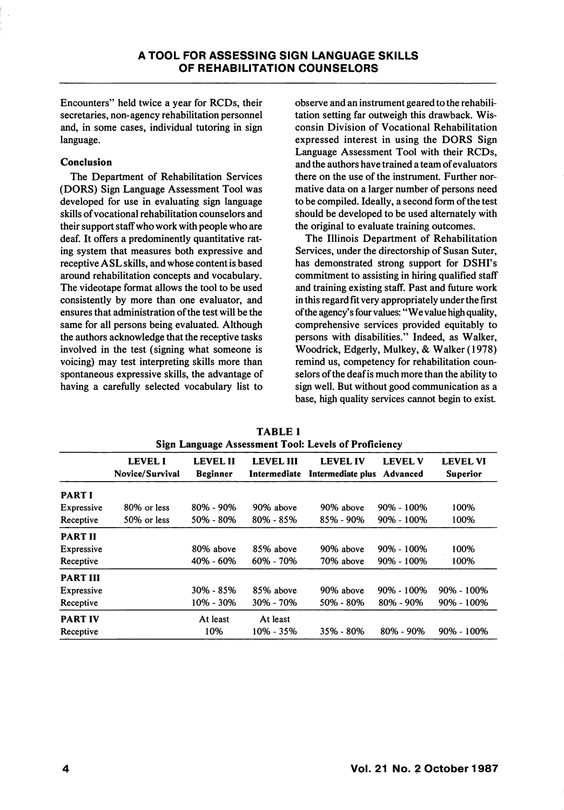Encounters" held twice a year for RCDs, their secretaries, non-agency rehabilitation personnel and, in some cases, individual tutoring in sign language.

## Conclusion

The Department of Rehabilitation Services (DORS) Sign Language Assessment Tool was developed for use in evaluating sign language skills of vocational rehabilitation counselors and their support staff who work with people who are deaf. It offers a predominently quantitative rat ing system that measures both expressive and receptive ASL skills, and whose content is based around rehabilitation concepts and vocabulary. The videotape format allows the tool to be used consistently by more than one evaluator, and ensures that administration of the test will be the same for all persons being evaluated. Although the authors acknowledge that the receptive tasks involved in the test (signing what someone is voicing) may test interpreting skills more than spontaneous expressive skills, the advantage of having a carefully selected vocabulary list to

observe and an instrument geared to the rehabili tation setting far outweigh this drawback. Wis consin Division of Vocational Rehabilitation expressed interest in using the DORS Sign Language Assessment Tool with their RCDs, and the authors have trained a team of evaluators there on the use of the instrument. Further nor mative data on a larger number of persons need to be compiled. Ideally, a second form of the test should be developed to be used alternately with the original to evaluate training outcomes.

The Illinois Department of Rehabilitation Services, under the directorship of Susan Suter, has demonstrated strong support for DSHI's commitment to assisting in hiring qualified staff and training existing staff. Past and future work in this regard fit very appropriately under the first of the agency's four values: "We value high quality, comprehensive services provided equitably to persons with disabilities." Indeed, as Walker, Woodrick, Edgerly, Mulkey, & Walker (1978) remind us, competency for rehabilitation coun selors of the deaf is much more than the ability to sign well. But without good communication as a base, high quality services cannot begin to exist

|                   | <b>LEVEL I</b><br>Novice/Survival | <b>LEVEL II</b><br><b>Beginner</b> | <b>LEVEL III</b><br>Intermediate | <b>LEVEL IV</b><br>Intermediate plus | <b>LEVEL V</b><br>Advanced | <b>LEVEL VI</b><br><b>Superior</b> |
|-------------------|-----------------------------------|------------------------------------|----------------------------------|--------------------------------------|----------------------------|------------------------------------|
| <b>PART I</b>     |                                   |                                    |                                  |                                      |                            |                                    |
| Expressive        | 80% or less                       | 80% - 90%                          | 90% above                        | 90% above                            | $90\% - 100\%$             | 100%                               |
| Receptive         | 50% or less                       | 50% - 80%                          | 80% - 85%                        | 85% - 90%                            | $90\% - 100\%$             | 100%                               |
| <b>PART II</b>    |                                   |                                    |                                  |                                      |                            |                                    |
| <b>Expressive</b> |                                   | 80% above                          | 85% above                        | 90% above                            | $90\% - 100\%$             | 100%                               |
| Receptive         |                                   | 40% - 60%                          | $60\% - 70\%$                    | 70% above                            | $90\% - 100\%$             | 100%                               |
| <b>PART III</b>   |                                   |                                    |                                  |                                      |                            |                                    |
| <b>Expressive</b> |                                   | 30% - 85%                          | 85% above                        | 90% above                            | $90\% - 100\%$             | $90\% - 100\%$                     |
| Receptive         |                                   | 10% - 30%                          | 30% - 70%                        | 50% - 80%                            | 80% - 90%                  | 90% - 100%                         |
| <b>PART IV</b>    |                                   | At least                           | At least                         |                                      |                            |                                    |
| Receptive         |                                   | 10%                                | $10\% - 35\%$                    | 35% - 80%                            | 80% - 90%                  | 90% - 100%                         |

TABLE 1 Sign Language Assessment Tool: Levels of Proficiency